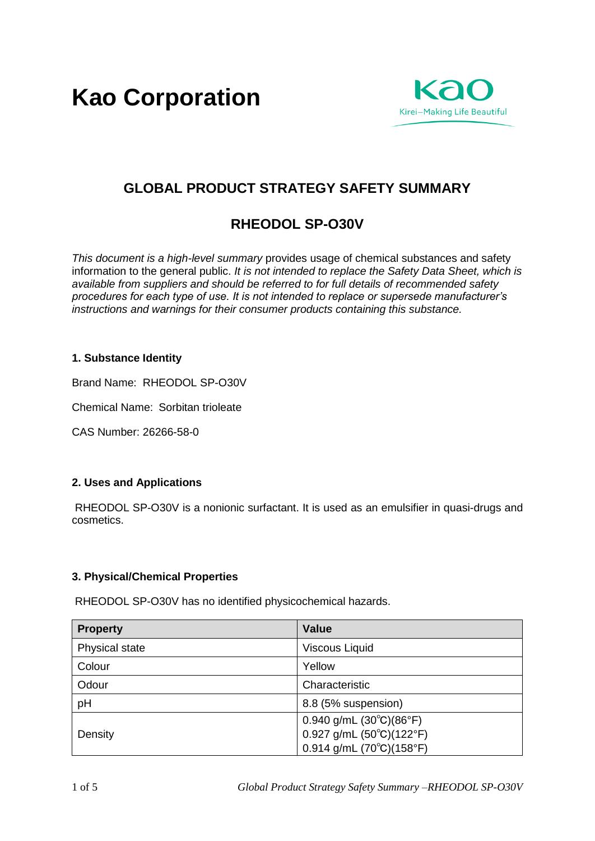**Kao Corporation**



# **GLOBAL PRODUCT STRATEGY SAFETY SUMMARY**

# **RHEODOL SP-O30V**

*This document is a high-level summary* provides usage of chemical substances and safety information to the general public. *It is not intended to replace the Safety Data Sheet, which is available from suppliers and should be referred to for full details of recommended safety procedures for each type of use. It is not intended to replace or supersede manufacturer's instructions and warnings for their consumer products containing this substance.* 

# **1. Substance Identity**

Brand Name: RHEODOL SP-O30V

Chemical Name: Sorbitan trioleate

CAS Number: 26266-58-0

#### **2. Uses and Applications**

RHEODOL SP-O30V is a nonionic surfactant. It is used as an emulsifier in quasi-drugs and cosmetics.

#### **3. Physical/Chemical Properties**

RHEODOL SP-O30V has no identified physicochemical hazards.

| <b>Property</b> | <b>Value</b>                                     |
|-----------------|--------------------------------------------------|
| Physical state  | <b>Viscous Liquid</b>                            |
| Colour          | Yellow                                           |
| Odour           | Characteristic                                   |
| pH              | 8.8 (5% suspension)                              |
| Density         | $0.940$ g/mL $(30^{\circ}C)(86^{\circ}F)$        |
|                 | $0.927$ g/mL $(50^{\circ}C)(122^{\circ}F)$       |
|                 | $0.914$ g/mL (70 $^{\circ}$ C)(158 $^{\circ}$ F) |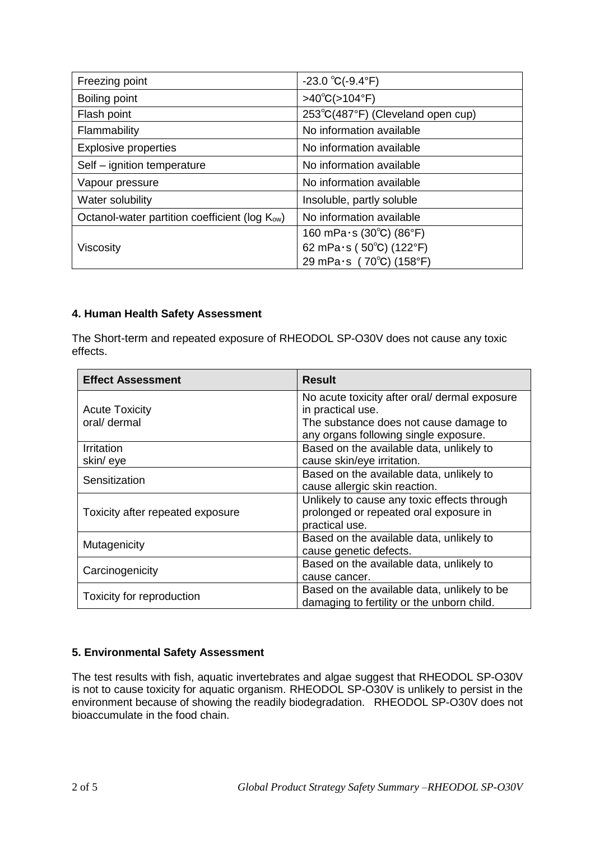| Freezing point                                             | $-23.0 °C(-9.4 °F)$               |
|------------------------------------------------------------|-----------------------------------|
| Boiling point                                              | $>40^{\circ}C(>104^{\circ}F)$     |
| Flash point                                                | 253°C(487°F) (Cleveland open cup) |
| Flammability                                               | No information available          |
| <b>Explosive properties</b>                                | No information available          |
| Self - ignition temperature                                | No information available          |
| Vapour pressure                                            | No information available          |
| Water solubility                                           | Insoluble, partly soluble         |
| Octanol-water partition coefficient (log K <sub>ow</sub> ) | No information available          |
|                                                            | 160 mPa $\cdot$ s (30°C) (86°F)   |
| Viscosity                                                  | 62 mPa $\cdot$ s (50°C) (122°F)   |
|                                                            | 29 mPa·s (70°C) (158°F)           |

# **4. Human Health Safety Assessment**

The Short-term and repeated exposure of RHEODOL SP-O30V does not cause any toxic effects.

| <b>Effect Assessment</b>         | <b>Result</b>                                 |
|----------------------------------|-----------------------------------------------|
|                                  | No acute toxicity after oral/ dermal exposure |
| <b>Acute Toxicity</b>            | in practical use.                             |
| oral/ dermal                     | The substance does not cause damage to        |
|                                  | any organs following single exposure.         |
| Irritation                       | Based on the available data, unlikely to      |
| skin/eye                         | cause skin/eye irritation.                    |
|                                  | Based on the available data, unlikely to      |
| Sensitization                    | cause allergic skin reaction.                 |
|                                  | Unlikely to cause any toxic effects through   |
| Toxicity after repeated exposure | prolonged or repeated oral exposure in        |
|                                  | practical use.                                |
| Mutagenicity                     | Based on the available data, unlikely to      |
|                                  | cause genetic defects.                        |
| Carcinogenicity                  | Based on the available data, unlikely to      |
|                                  | cause cancer.                                 |
|                                  | Based on the available data, unlikely to be   |
| Toxicity for reproduction        | damaging to fertility or the unborn child.    |

# **5. Environmental Safety Assessment**

The test results with fish, aquatic invertebrates and algae suggest that RHEODOL SP-O30V is not to cause toxicity for aquatic organism. RHEODOL SP-O30V is unlikely to persist in the environment because of showing the readily biodegradation. RHEODOL SP-O30V does not bioaccumulate in the food chain.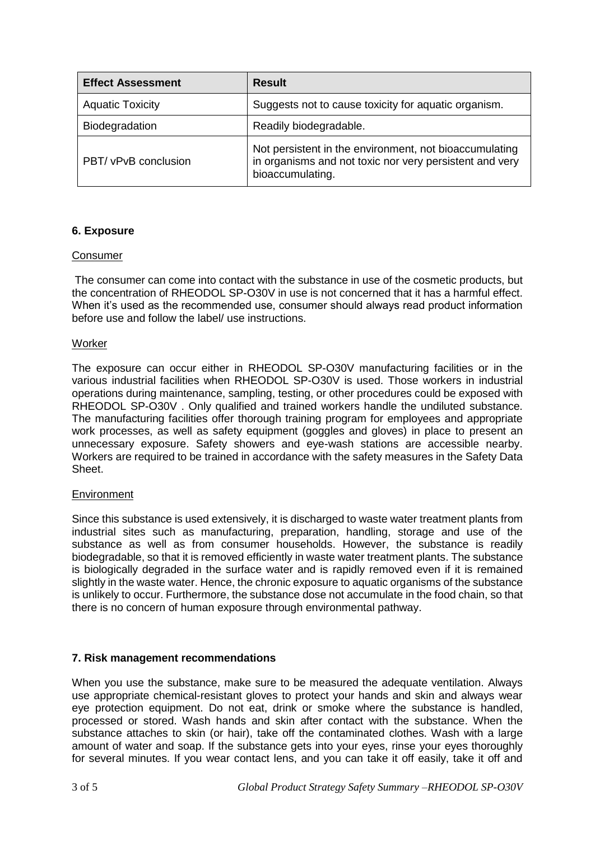| <b>Effect Assessment</b> | <b>Result</b>                                                                                                                         |
|--------------------------|---------------------------------------------------------------------------------------------------------------------------------------|
| <b>Aquatic Toxicity</b>  | Suggests not to cause toxicity for aquatic organism.                                                                                  |
| Biodegradation           | Readily biodegradable.                                                                                                                |
| PBT/ vPvB conclusion     | Not persistent in the environment, not bioaccumulating<br>in organisms and not toxic nor very persistent and very<br>bioaccumulating. |

# **6. Exposure**

#### **Consumer**

The consumer can come into contact with the substance in use of the cosmetic products, but the concentration of RHEODOL SP-O30V in use is not concerned that it has a harmful effect. When it's used as the recommended use, consumer should always read product information before use and follow the label/ use instructions.

#### Worker

The exposure can occur either in RHEODOL SP-O30V manufacturing facilities or in the various industrial facilities when RHEODOL SP-O30V is used. Those workers in industrial operations during maintenance, sampling, testing, or other procedures could be exposed with RHEODOL SP-O30V . Only qualified and trained workers handle the undiluted substance. The manufacturing facilities offer thorough training program for employees and appropriate work processes, as well as safety equipment (goggles and gloves) in place to present an unnecessary exposure. Safety showers and eye-wash stations are accessible nearby. Workers are required to be trained in accordance with the safety measures in the Safety Data Sheet.

#### Environment

Since this substance is used extensively, it is discharged to waste water treatment plants from industrial sites such as manufacturing, preparation, handling, storage and use of the substance as well as from consumer households. However, the substance is readily biodegradable, so that it is removed efficiently in waste water treatment plants. The substance is biologically degraded in the surface water and is rapidly removed even if it is remained slightly in the waste water. Hence, the chronic exposure to aquatic organisms of the substance is unlikely to occur. Furthermore, the substance dose not accumulate in the food chain, so that there is no concern of human exposure through environmental pathway.

#### **7. Risk management recommendations**

When you use the substance, make sure to be measured the adequate ventilation. Always use appropriate chemical-resistant gloves to protect your hands and skin and always wear eye protection equipment. Do not eat, drink or smoke where the substance is handled, processed or stored. Wash hands and skin after contact with the substance. When the substance attaches to skin (or hair), take off the contaminated clothes. Wash with a large amount of water and soap. If the substance gets into your eyes, rinse your eyes thoroughly for several minutes. If you wear contact lens, and you can take it off easily, take it off and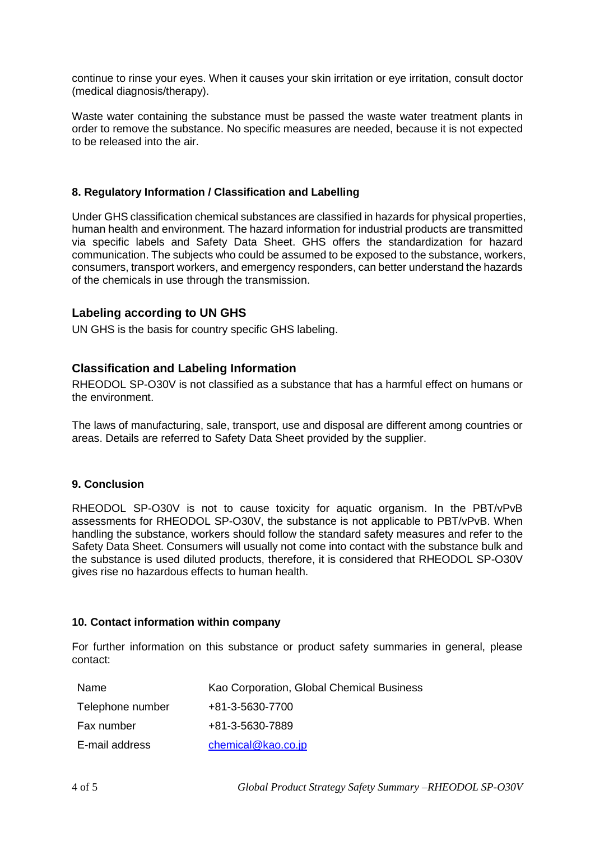continue to rinse your eyes. When it causes your skin irritation or eye irritation, consult doctor (medical diagnosis/therapy).

Waste water containing the substance must be passed the waste water treatment plants in order to remove the substance. No specific measures are needed, because it is not expected to be released into the air.

#### **8. Regulatory Information / Classification and Labelling**

Under GHS classification chemical substances are classified in hazards for physical properties, human health and environment. The hazard information for industrial products are transmitted via specific labels and Safety Data Sheet. GHS offers the standardization for hazard communication. The subjects who could be assumed to be exposed to the substance, workers, consumers, transport workers, and emergency responders, can better understand the hazards of the chemicals in use through the transmission.

#### **Labeling according to UN GHS**

UN GHS is the basis for country specific GHS labeling.

# **Classification and Labeling Information**

RHEODOL SP-O30V is not classified as a substance that has a harmful effect on humans or the environment.

The laws of manufacturing, sale, transport, use and disposal are different among countries or areas. Details are referred to Safety Data Sheet provided by the supplier.

#### **9. Conclusion**

RHEODOL SP-O30V is not to cause toxicity for aquatic organism. In the PBT/vPvB assessments for RHEODOL SP-O30V, the substance is not applicable to PBT/vPvB. When handling the substance, workers should follow the standard safety measures and refer to the Safety Data Sheet. Consumers will usually not come into contact with the substance bulk and the substance is used diluted products, therefore, it is considered that RHEODOL SP-O30V gives rise no hazardous effects to human health.

#### **10. Contact information within company**

For further information on this substance or product safety summaries in general, please contact:

| Name             | Kao Corporation, Global Chemical Business |
|------------------|-------------------------------------------|
| Telephone number | +81-3-5630-7700                           |
| Fax number       | +81-3-5630-7889                           |
| E-mail address   | chemical@kao.co.jp                        |